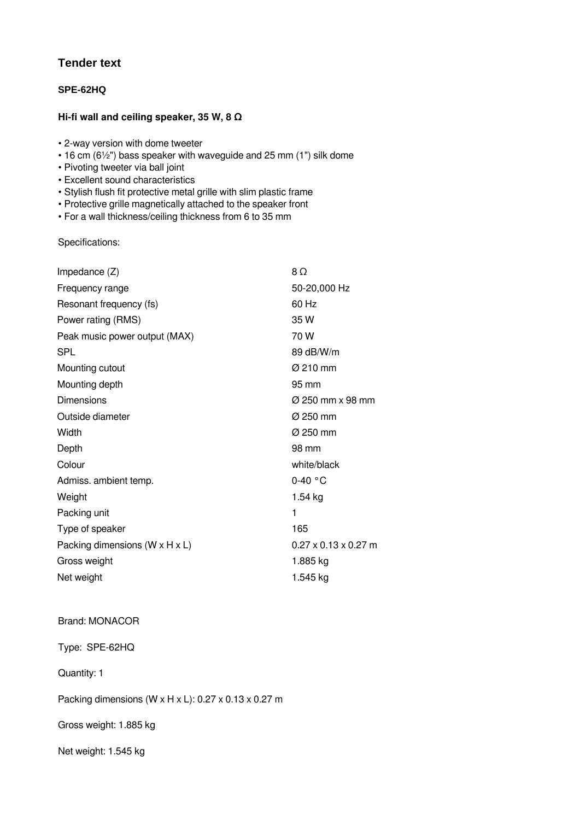## **Tender text**

## **SPE-62HQ**

## **Hi-fi wall and ceiling speaker, 35 W, 8 Ω**

- 2-way version with dome tweeter
- 16 cm (6½") bass speaker with waveguide and 25 mm (1") silk dome
- Pivoting tweeter via ball joint
- Excellent sound characteristics
- Stylish flush fit protective metal grille with slim plastic frame
- Protective grille magnetically attached to the speaker front
- For a wall thickness/ceiling thickness from 6 to 35 mm

Specifications:

| Impedance $(Z)$                              | $8\Omega$                        |
|----------------------------------------------|----------------------------------|
| Frequency range                              | 50-20,000 Hz                     |
| Resonant frequency (fs)                      | 60 Hz                            |
| Power rating (RMS)                           | 35 W                             |
| Peak music power output (MAX)                | 70 W                             |
| <b>SPL</b>                                   | 89 dB/W/m                        |
| Mounting cutout                              | $\varnothing$ 210 mm             |
| Mounting depth                               | 95 mm                            |
| Dimensions                                   | Ø 250 mm x 98 mm                 |
| Outside diameter                             | Ø 250 mm                         |
| Width                                        | Ø 250 mm                         |
| Depth                                        | 98 mm                            |
| Colour                                       | white/black                      |
| Admiss. ambient temp.                        | $0-40$ °C                        |
| Weight                                       | $1.54$ kg                        |
| Packing unit                                 | 1                                |
| Type of speaker                              | 165                              |
| Packing dimensions ( $W \times H \times L$ ) | $0.27 \times 0.13 \times 0.27$ m |
| Gross weight                                 | 1.885 kg                         |
| Net weight                                   | 1.545 kg                         |
|                                              |                                  |

## Brand: MONACOR

Type: SPE-62HQ

Quantity: 1

Packing dimensions (W x H x L): 0.27 x 0.13 x 0.27 m

Gross weight: 1.885 kg

Net weight: 1.545 kg